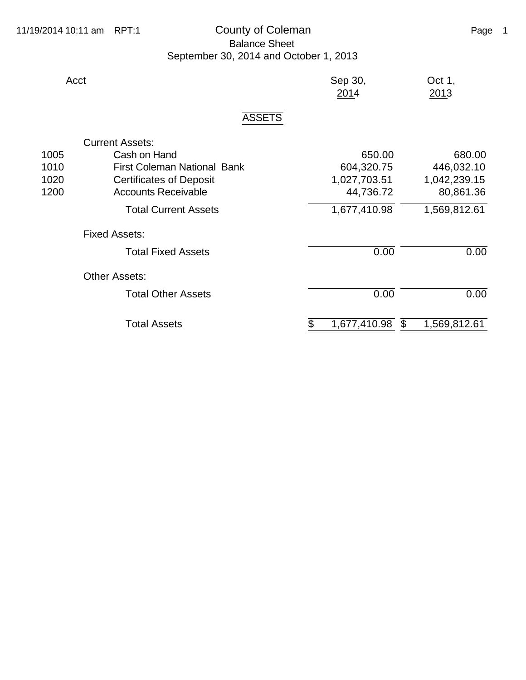## 11/19/2014 10:11 am RPT:1 County of Coleman Counter County of Coleman Page 1 Balance Sheet September 30, 2014 and October 1, 2013

| Acct |               | Sep 30,<br>2014 | Oct $1,$<br>2013 |
|------|---------------|-----------------|------------------|
|      | <b>ASSETS</b> |                 |                  |

## Current Assets: 1005 Cash on Hand 650.00 680.00<br>1010 First Coleman National Bank 604,320.75 446,032.10 1010 First Coleman National Bank 604,320.75 446,032.10 1020 **Certificates of Deposit** 1,027,703.51 1,042,239.15 1200 Accounts Receivable **44,736.72** 80,861.36 Total Current Assets 1,677,410.98 1,569,812.61 Fixed Assets: Total Fixed Assets **COLO** 0.00 **0.00** 0.00 Other Assets: Total Other Assets 0.00 0.00 0.00 Total Assets **\$** 1,677,410.98 \$ 1,569,812.61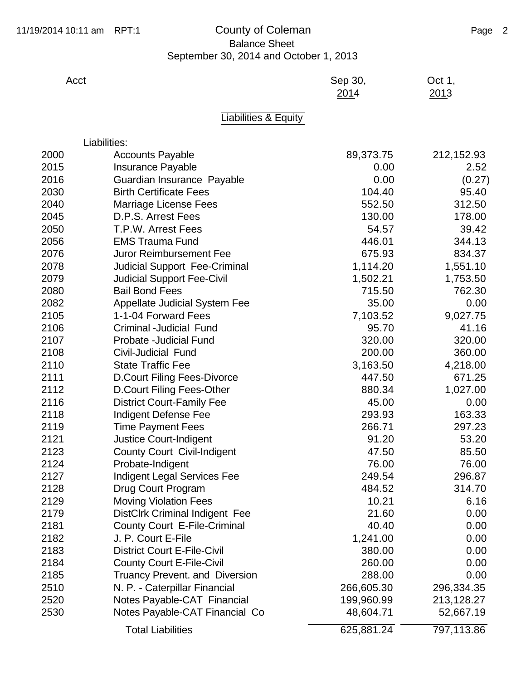## 11/19/2014 10:11 am RPT:1 County of Coleman Counter and Page 2 Balance Sheet September 30, 2014 and October 1, 2013

| Acct |                                       | Sep 30,<br>2014 | Oct 1,<br>2013 |
|------|---------------------------------------|-----------------|----------------|
|      | Liabilities & Equity                  |                 |                |
|      | Liabilities:                          |                 |                |
| 2000 | <b>Accounts Payable</b>               | 89,373.75       | 212,152.93     |
| 2015 | <b>Insurance Payable</b>              | 0.00            | 2.52           |
| 2016 | Guardian Insurance Payable            | 0.00            | (0.27)         |
| 2030 | <b>Birth Certificate Fees</b>         | 104.40          | 95.40          |
| 2040 | Marriage License Fees                 | 552.50          | 312.50         |
| 2045 | D.P.S. Arrest Fees                    | 130.00          | 178.00         |
| 2050 | <b>T.P.W. Arrest Fees</b>             | 54.57           | 39.42          |
| 2056 | <b>EMS Trauma Fund</b>                | 446.01          | 344.13         |
| 2076 | <b>Juror Reimbursement Fee</b>        | 675.93          | 834.37         |
| 2078 | <b>Judicial Support Fee-Criminal</b>  | 1,114.20        | 1,551.10       |
| 2079 | <b>Judicial Support Fee-Civil</b>     | 1,502.21        | 1,753.50       |
| 2080 | <b>Bail Bond Fees</b>                 | 715.50          | 762.30         |
| 2082 | <b>Appellate Judicial System Fee</b>  | 35.00           | 0.00           |
| 2105 | 1-1-04 Forward Fees                   | 7,103.52        | 9,027.75       |
| 2106 | Criminal -Judicial Fund               | 95.70           | 41.16          |
| 2107 | Probate - Judicial Fund               | 320.00          | 320.00         |
| 2108 | Civil-Judicial Fund                   | 200.00          | 360.00         |
| 2110 | <b>State Traffic Fee</b>              | 3,163.50        | 4,218.00       |
| 2111 | <b>D.Court Filing Fees-Divorce</b>    | 447.50          | 671.25         |
| 2112 | D.Court Filing Fees-Other             | 880.34          | 1,027.00       |
| 2116 | <b>District Court-Family Fee</b>      | 45.00           | 0.00           |
| 2118 | <b>Indigent Defense Fee</b>           | 293.93          | 163.33         |
| 2119 | <b>Time Payment Fees</b>              | 266.71          | 297.23         |
| 2121 | <b>Justice Court-Indigent</b>         | 91.20           | 53.20          |
| 2123 | <b>County Court Civil-Indigent</b>    | 47.50           | 85.50          |
| 2124 | Probate-Indigent                      | 76.00           | 76.00          |
| 2127 | <b>Indigent Legal Services Fee</b>    | 249.54          | 296.87         |
| 2128 | Drug Court Program                    | 484.52          | 314.70         |
| 2129 | <b>Moving Violation Fees</b>          | 10.21           | 6.16           |
| 2179 | DistClrk Criminal Indigent Fee        | 21.60           | 0.00           |
| 2181 | <b>County Court E-File-Criminal</b>   | 40.40           | 0.00           |
| 2182 | J. P. Court E-File                    | 1,241.00        | 0.00           |
| 2183 | <b>District Court E-File-Civil</b>    | 380.00          | 0.00           |
| 2184 | <b>County Court E-File-Civil</b>      | 260.00          | 0.00           |
| 2185 | <b>Truancy Prevent. and Diversion</b> | 288.00          | 0.00           |
| 2510 | N. P. - Caterpillar Financial         | 266,605.30      | 296,334.35     |
| 2520 | Notes Payable-CAT Financial           | 199,960.99      | 213,128.27     |
| 2530 | Notes Payable-CAT Financial Co        | 48,604.71       | 52,667.19      |
|      |                                       |                 |                |

Total Liabilities 625,881.24 797,113.86